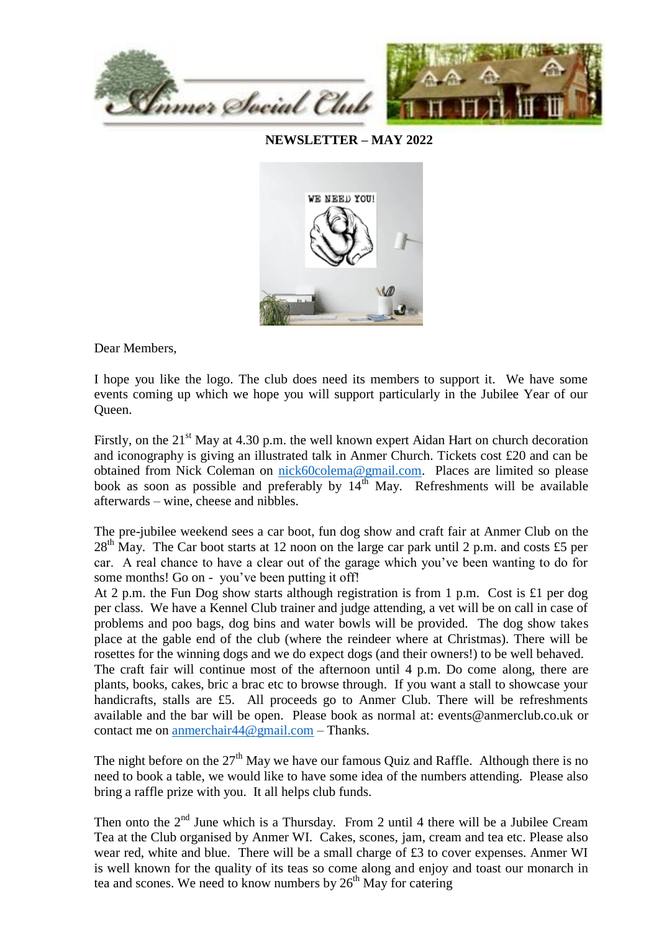

**NEWSLETTER – MAY 2022**



Dear Members,

I hope you like the logo. The club does need its members to support it. We have some events coming up which we hope you will support particularly in the Jubilee Year of our Queen.

Firstly, on the  $21<sup>st</sup>$  May at 4.30 p.m. the well known expert Aidan Hart on church decoration and iconography is giving an illustrated talk in Anmer Church. Tickets cost £20 and can be obtained from Nick Coleman on [nick60colema@gmail.com.](mailto:nick60colema@gmail.com) Places are limited so please book as soon as possible and preferably by  $14<sup>th</sup>$  May. Refreshments will be available afterwards – wine, cheese and nibbles.

The pre-jubilee weekend sees a car boot, fun dog show and craft fair at Anmer Club on the  $28<sup>th</sup>$  May. The Car boot starts at 12 noon on the large car park until 2 p.m. and costs £5 per car. A real chance to have a clear out of the garage which you've been wanting to do for some months! Go on - you've been putting it off!

At 2 p.m. the Fun Dog show starts although registration is from 1 p.m. Cost is £1 per dog per class. We have a Kennel Club trainer and judge attending, a vet will be on call in case of problems and poo bags, dog bins and water bowls will be provided. The dog show takes place at the gable end of the club (where the reindeer where at Christmas). There will be rosettes for the winning dogs and we do expect dogs (and their owners!) to be well behaved. The craft fair will continue most of the afternoon until 4 p.m. Do come along, there are plants, books, cakes, bric a brac etc to browse through. If you want a stall to showcase your handicrafts, stalls are £5. All proceeds go to Anmer Club. There will be refreshments available and the bar will be open. Please book as normal at: events@anmerclub.co.uk or contact me on [anmerchair44@gmail.com](mailto:anmerchair44@gmail.com) – Thanks.

The night before on the  $27<sup>th</sup>$  May we have our famous Quiz and Raffle. Although there is no need to book a table, we would like to have some idea of the numbers attending. Please also bring a raffle prize with you. It all helps club funds.

Then onto the  $2<sup>nd</sup>$  June which is a Thursday. From 2 until 4 there will be a Jubilee Cream Tea at the Club organised by Anmer WI. Cakes, scones, jam, cream and tea etc. Please also wear red, white and blue. There will be a small charge of £3 to cover expenses. Anmer WI is well known for the quality of its teas so come along and enjoy and toast our monarch in tea and scones. We need to know numbers by  $26<sup>th</sup>$  May for catering